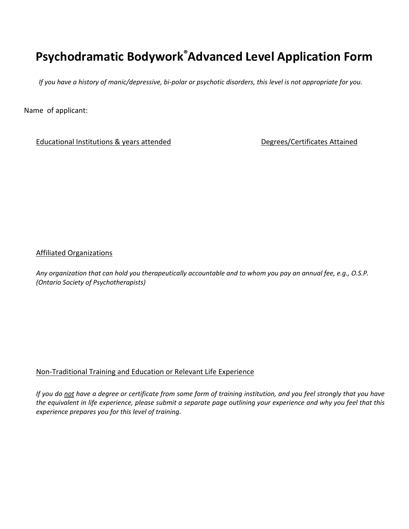## **Psychodramatic Bodywork® Advanced Level Application Form**

*If you have a history of manic/depressive, bi-polar or psychotic disorders, this level is not appropriate for you.* 

Name of applicant:

Educational Institutions & years attended Degrees/Certificates Attained

Affiliated Organizations

*Any organization that can hold you therapeutically accountable and to whom you pay an annual fee, e.g., O.S.P. (Ontario Society of Psychotherapists)*

## Non-Traditional Training and Education or Relevant Life Experience

*If you do not have a degree or certificate from some form of training institution, and you feel strongly that you have the equivalent in life experience, please submit a separate page outlining your experience and why you feel that this experience prepares you for this level of training*.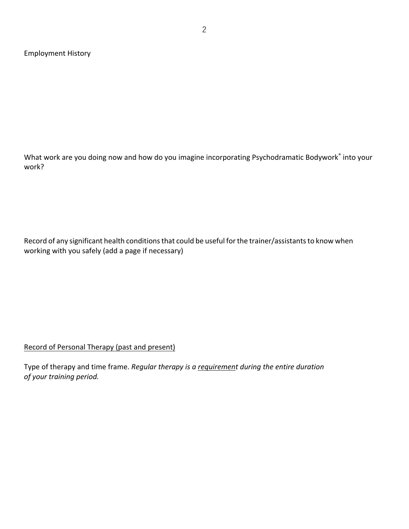Employment History

What work are you doing now and how do you imagine incorporating Psychodramatic Bodywork® into your work?

Record of any significant health conditions that could be useful for the trainer/assistants to know when working with you safely (add a page if necessary)

Record of Personal Therapy (past and present)

Type of therapy and time frame. *Regular therapy is a requirement during the entire duration of your training period.*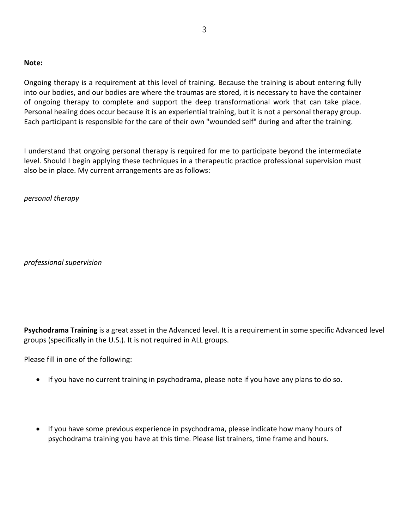## **Note:**

Ongoing therapy is a requirement at this level of training. Because the training is about entering fully into our bodies, and our bodies are where the traumas are stored, it is necessary to have the container of ongoing therapy to complete and support the deep transformational work that can take place. Personal healing does occur because it is an experiential training, but it is not a personal therapy group. Each participant is responsible for the care of their own "wounded self" during and after the training.

I understand that ongoing personal therapy is required for me to participate beyond the intermediate level. Should I begin applying these techniques in a therapeutic practice professional supervision must also be in place. My current arrangements are as follows:

*personal therapy* 

*professional supervision* 

**Psychodrama Training** is a great asset in the Advanced level. It is a requirement in some specific Advanced level groups (specifically in the U.S.). It is not required in ALL groups.

Please fill in one of the following:

- If you have no current training in psychodrama, please note if you have any plans to do so.
- If you have some previous experience in psychodrama, please indicate how many hours of psychodrama training you have at this time. Please list trainers, time frame and hours.